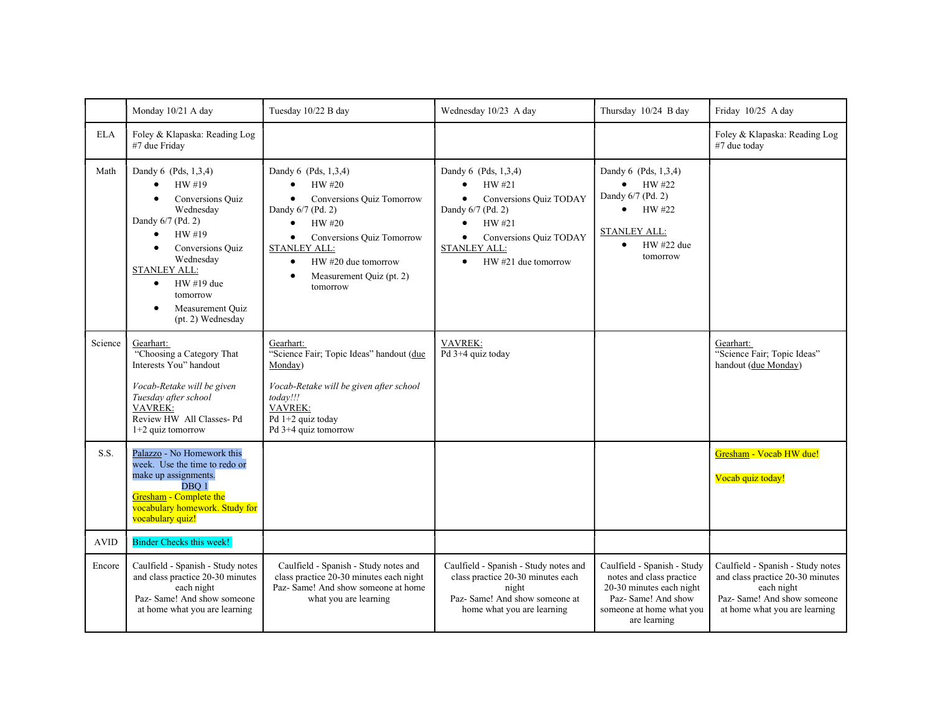|             | Monday 10/21 A day                                                                                                                                                                                                                                                | Tuesday 10/22 B day                                                                                                                                                                                                                                                                         | Wednesday 10/23 A day                                                                                                                                                                                                            | Thursday 10/24 B day                                                                                                                                   | Friday 10/25 A day                                                                                                                                  |
|-------------|-------------------------------------------------------------------------------------------------------------------------------------------------------------------------------------------------------------------------------------------------------------------|---------------------------------------------------------------------------------------------------------------------------------------------------------------------------------------------------------------------------------------------------------------------------------------------|----------------------------------------------------------------------------------------------------------------------------------------------------------------------------------------------------------------------------------|--------------------------------------------------------------------------------------------------------------------------------------------------------|-----------------------------------------------------------------------------------------------------------------------------------------------------|
| <b>ELA</b>  | Foley & Klapaska: Reading Log<br>#7 due Friday                                                                                                                                                                                                                    |                                                                                                                                                                                                                                                                                             |                                                                                                                                                                                                                                  |                                                                                                                                                        | Foley & Klapaska: Reading Log<br>#7 due today                                                                                                       |
| Math        | Dandy 6 (Pds, 1,3,4)<br>HW #19<br>Conversions Quiz<br>$\bullet$<br>Wednesday<br>Dandy 6/7 (Pd. 2)<br>HW #19<br>$\bullet$<br>Conversions Quiz<br>Wednesday<br><b>STANLEY ALL:</b><br>$HW#19$ due<br>$\bullet$<br>tomorrow<br>Measurement Quiz<br>(pt. 2) Wednesday | Dandy 6 (Pds, 1,3,4)<br>HW #20<br>$\bullet$<br>Conversions Quiz Tomorrow<br>$\bullet$<br>Dandy 6/7 (Pd. 2)<br>$\bullet$<br>HW #20<br>Conversions Quiz Tomorrow<br>$\bullet$<br><b>STANLEY ALL:</b><br>HW #20 due tomorrow<br>$\bullet$<br>Measurement Quiz (pt. 2)<br>$\bullet$<br>tomorrow | Dandy 6 (Pds, 1,3,4)<br>HW #21<br>$\bullet$<br>Conversions Quiz TODAY<br>$\bullet$<br>Dandy 6/7 (Pd. 2)<br>$\bullet$<br>HW #21<br>Conversions Quiz TODAY<br>$\bullet$<br><b>STANLEY ALL:</b><br>HW #21 due tomorrow<br>$\bullet$ | Dandy 6 (Pds, 1,3,4)<br>HW #22<br>$\bullet$<br>Dandy 6/7 (Pd. 2)<br>HW #22<br>$\bullet$<br><b>STANLEY ALL:</b><br>HW #22 due<br>$\bullet$<br>tomorrow  |                                                                                                                                                     |
| Science     | Gearhart:<br>"Choosing a Category That<br>Interests You" handout<br>Vocab-Retake will be given<br>Tuesday after school<br><b>VAVREK:</b><br>Review HW All Classes-Pd<br>$1+2$ quiz tomorrow                                                                       | Gearhart:<br>"Science Fair; Topic Ideas" handout (due<br>Monday)<br>Vocab-Retake will be given after school<br>today!!!<br>VAVREK:<br>Pd 1+2 quiz today<br>Pd 3+4 quiz tomorrow                                                                                                             | <b>VAVREK:</b><br>Pd 3+4 quiz today                                                                                                                                                                                              |                                                                                                                                                        | Gearhart:<br>"Science Fair; Topic Ideas"<br>handout (due Monday)                                                                                    |
| S.S.        | Palazzo - No Homework this<br>week. Use the time to redo or<br>make up assignments.<br>DBO <sub>1</sub><br>Gresham - Complete the<br>vocabulary homework. Study for<br>vocabulary quiz!                                                                           |                                                                                                                                                                                                                                                                                             |                                                                                                                                                                                                                                  |                                                                                                                                                        | Gresham - Vocab HW due!<br>Vocab quiz today!                                                                                                        |
| <b>AVID</b> | Binder Checks this week!                                                                                                                                                                                                                                          |                                                                                                                                                                                                                                                                                             |                                                                                                                                                                                                                                  |                                                                                                                                                        |                                                                                                                                                     |
| Encore      | Caulfield - Spanish - Study notes<br>and class practice 20-30 minutes<br>each night<br>Paz- Same! And show someone<br>at home what you are learning                                                                                                               | Caulfield - Spanish - Study notes and<br>class practice 20-30 minutes each night<br>Paz- Same! And show someone at home<br>what you are learning                                                                                                                                            | Caulfield - Spanish - Study notes and<br>class practice 20-30 minutes each<br>night<br>Paz- Same! And show someone at<br>home what you are learning                                                                              | Caulfield - Spanish - Study<br>notes and class practice<br>20-30 minutes each night<br>Paz- Same! And show<br>someone at home what you<br>are learning | Caulfield - Spanish - Study notes<br>and class practice 20-30 minutes<br>each night<br>Paz- Same! And show someone<br>at home what you are learning |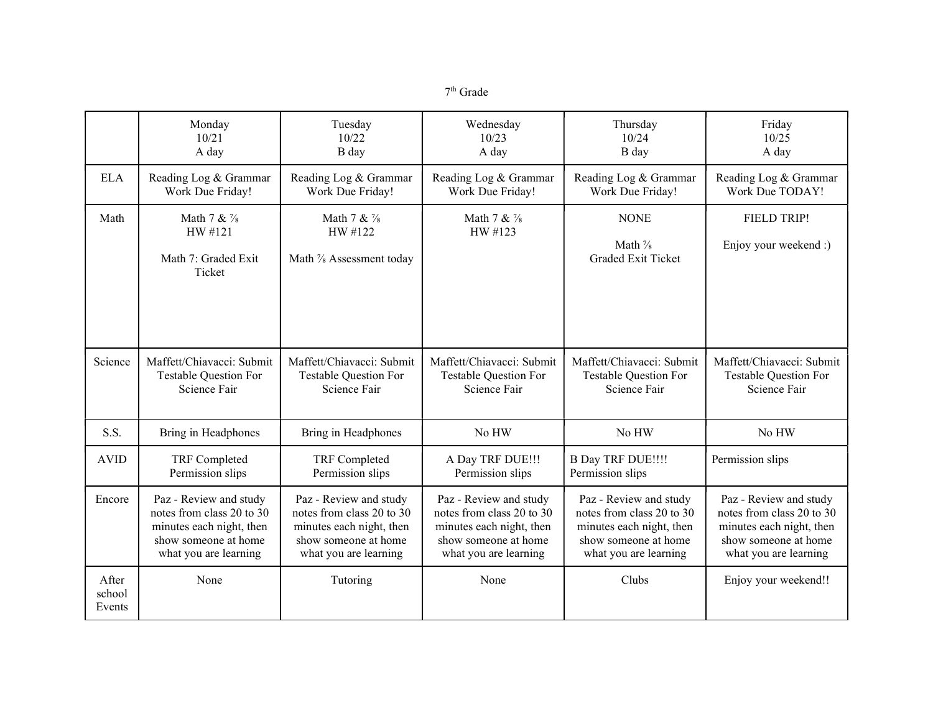| тn<br>тгаае |
|-------------|
|-------------|

|                           | Monday                                                   | Tuesday                                            | Wednesday                            | Thursday                                             | Friday                               |
|---------------------------|----------------------------------------------------------|----------------------------------------------------|--------------------------------------|------------------------------------------------------|--------------------------------------|
|                           | 10/21                                                    | 10/22                                              | 10/23                                | 10/24                                                | 10/25                                |
|                           | A day                                                    | B day                                              | A day                                | B day                                                | A day                                |
| <b>ELA</b>                | Reading Log & Grammar                                    | Reading Log & Grammar                              | Reading Log & Grammar                | Reading Log & Grammar                                | Reading Log & Grammar                |
|                           | Work Due Friday!                                         | Work Due Friday!                                   | Work Due Friday!                     | Work Due Friday!                                     | Work Due TODAY!                      |
| Math                      | Math 7 & 1/8<br>HW #121<br>Math 7: Graded Exit<br>Ticket | Math 7 & 1/8<br>HW #122<br>Math % Assessment today | Math 7 & 1/8<br>HW #123              | <b>NONE</b><br>Math 1/8<br><b>Graded Exit Ticket</b> | FIELD TRIP!<br>Enjoy your weekend :) |
| Science                   | Maffett/Chiavacci: Submit                                | Maffett/Chiavacci: Submit                          | Maffett/Chiavacci: Submit            | Maffett/Chiavacci: Submit                            | Maffett/Chiavacci: Submit            |
|                           | Testable Question For                                    | Testable Question For                              | <b>Testable Question For</b>         | <b>Testable Question For</b>                         | <b>Testable Question For</b>         |
|                           | Science Fair                                             | Science Fair                                       | Science Fair                         | Science Fair                                         | Science Fair                         |
| S.S.                      | Bring in Headphones                                      | Bring in Headphones                                | No HW                                | No HW                                                | No HW                                |
| <b>AVID</b>               | TRF Completed<br>Permission slips                        | TRF Completed<br>Permission slips                  | A Day TRF DUE!!!<br>Permission slips | <b>B Day TRF DUE!!!!</b><br>Permission slips         | Permission slips                     |
| Encore                    | Paz - Review and study                                   | Paz - Review and study                             | Paz - Review and study               | Paz - Review and study                               | Paz - Review and study               |
|                           | notes from class 20 to 30                                | notes from class 20 to 30                          | notes from class 20 to 30            | notes from class 20 to 30                            | notes from class 20 to 30            |
|                           | minutes each night, then                                 | minutes each night, then                           | minutes each night, then             | minutes each night, then                             | minutes each night, then             |
|                           | show someone at home                                     | show someone at home                               | show someone at home                 | show someone at home                                 | show someone at home                 |
|                           | what you are learning                                    | what you are learning                              | what you are learning                | what you are learning                                | what you are learning                |
| After<br>school<br>Events | None                                                     | Tutoring                                           | None                                 | Clubs                                                | Enjoy your weekend!!                 |